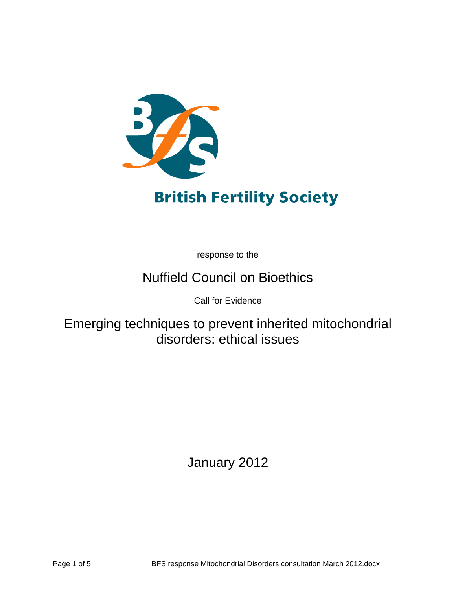

# **British Fertility Society**

response to the

# Nuffield Council on Bioethics

Call for Evidence

Emerging techniques to prevent inherited mitochondrial disorders: ethical issues

January 2012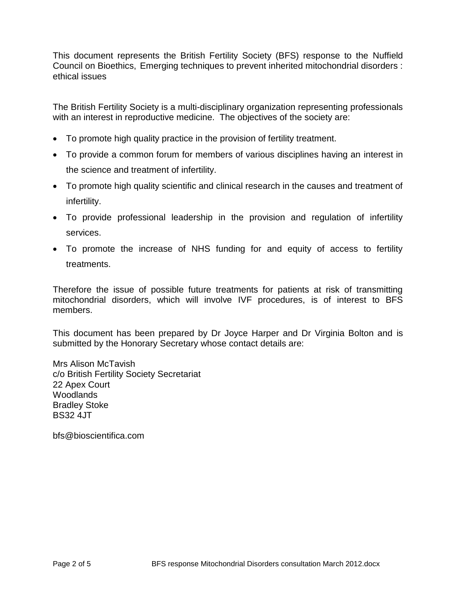This document represents the British Fertility Society (BFS) response to the Nuffield Council on Bioethics, Emerging techniques to prevent inherited mitochondrial disorders : ethical issues

The British Fertility Society is a multi-disciplinary organization representing professionals with an interest in reproductive medicine. The objectives of the society are:

- To promote high quality practice in the provision of fertility treatment.
- To provide a common forum for members of various disciplines having an interest in the science and treatment of infertility.
- To promote high quality scientific and clinical research in the causes and treatment of infertility.
- To provide professional leadership in the provision and regulation of infertility services.
- To promote the increase of NHS funding for and equity of access to fertility treatments.

Therefore the issue of possible future treatments for patients at risk of transmitting mitochondrial disorders, which will involve IVF procedures, is of interest to BFS members.

This document has been prepared by Dr Joyce Harper and Dr Virginia Bolton and is submitted by the Honorary Secretary whose contact details are:

Mrs Alison McTavish c/o British Fertility Society Secretariat 22 Apex Court **Woodlands** Bradley Stoke BS32 4JT

bfs@bioscientifica.com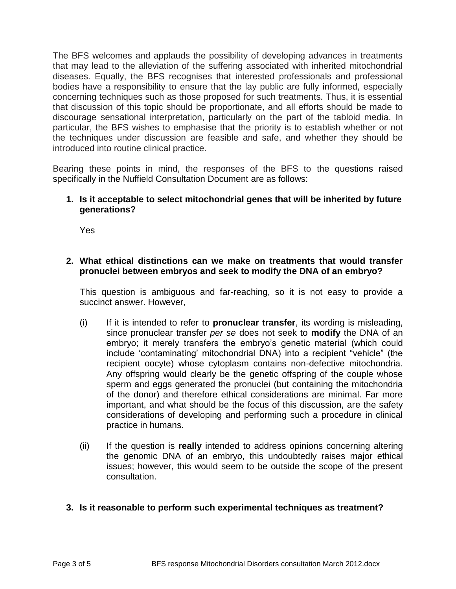The BFS welcomes and applauds the possibility of developing advances in treatments that may lead to the alleviation of the suffering associated with inherited mitochondrial diseases. Equally, the BFS recognises that interested professionals and professional bodies have a responsibility to ensure that the lay public are fully informed, especially concerning techniques such as those proposed for such treatments. Thus, it is essential that discussion of this topic should be proportionate, and all efforts should be made to discourage sensational interpretation, particularly on the part of the tabloid media. In particular, the BFS wishes to emphasise that the priority is to establish whether or not the techniques under discussion are feasible and safe, and whether they should be introduced into routine clinical practice.

Bearing these points in mind, the responses of the BFS to the questions raised specifically in the Nuffield Consultation Document are as follows:

# **1. Is it acceptable to select mitochondrial genes that will be inherited by future generations?**

Yes

# **2. What ethical distinctions can we make on treatments that would transfer pronuclei between embryos and seek to modify the DNA of an embryo?**

This question is ambiguous and far-reaching, so it is not easy to provide a succinct answer. However,

- (i) If it is intended to refer to **pronuclear transfer**, its wording is misleading, since pronuclear transfer *per se* does not seek to **modify** the DNA of an embryo; it merely transfers the embryo's genetic material (which could include "contaminating" mitochondrial DNA) into a recipient "vehicle" (the recipient oocyte) whose cytoplasm contains non-defective mitochondria. Any offspring would clearly be the genetic offspring of the couple whose sperm and eggs generated the pronuclei (but containing the mitochondria of the donor) and therefore ethical considerations are minimal. Far more important, and what should be the focus of this discussion, are the safety considerations of developing and performing such a procedure in clinical practice in humans.
- (ii) If the question is **really** intended to address opinions concerning altering the genomic DNA of an embryo, this undoubtedly raises major ethical issues; however, this would seem to be outside the scope of the present consultation.

# **3. Is it reasonable to perform such experimental techniques as treatment?**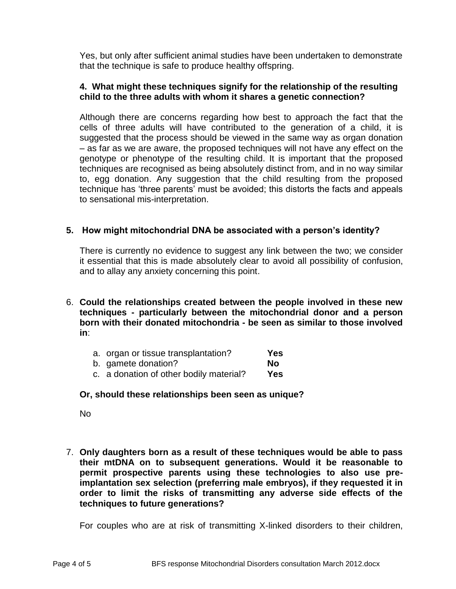Yes, but only after sufficient animal studies have been undertaken to demonstrate that the technique is safe to produce healthy offspring.

# **4. What might these techniques signify for the relationship of the resulting child to the three adults with whom it shares a genetic connection?**

Although there are concerns regarding how best to approach the fact that the cells of three adults will have contributed to the generation of a child, it is suggested that the process should be viewed in the same way as organ donation – as far as we are aware, the proposed techniques will not have any effect on the genotype or phenotype of the resulting child. It is important that the proposed techniques are recognised as being absolutely distinct from, and in no way similar to, egg donation. Any suggestion that the child resulting from the proposed technique has "three parents" must be avoided; this distorts the facts and appeals to sensational mis-interpretation.

# **5. How might mitochondrial DNA be associated with a person's identity?**

There is currently no evidence to suggest any link between the two; we consider it essential that this is made absolutely clear to avoid all possibility of confusion, and to allay any anxiety concerning this point.

- 6. **Could the relationships created between the people involved in these new techniques - particularly between the mitochondrial donor and a person born with their donated mitochondria - be seen as similar to those involved in**:
	- a. organ or tissue transplantation? **Yes**
	- b. gamete donation? **No**
	- c. a donation of other bodily material? **Yes**

# **Or, should these relationships been seen as unique?**

No

7. **Only daughters born as a result of these techniques would be able to pass their mtDNA on to subsequent generations. Would it be reasonable to permit prospective parents using these technologies to also use preimplantation sex selection (preferring male embryos), if they requested it in order to limit the risks of transmitting any adverse side effects of the techniques to future generations?**

For couples who are at risk of transmitting X-linked disorders to their children,